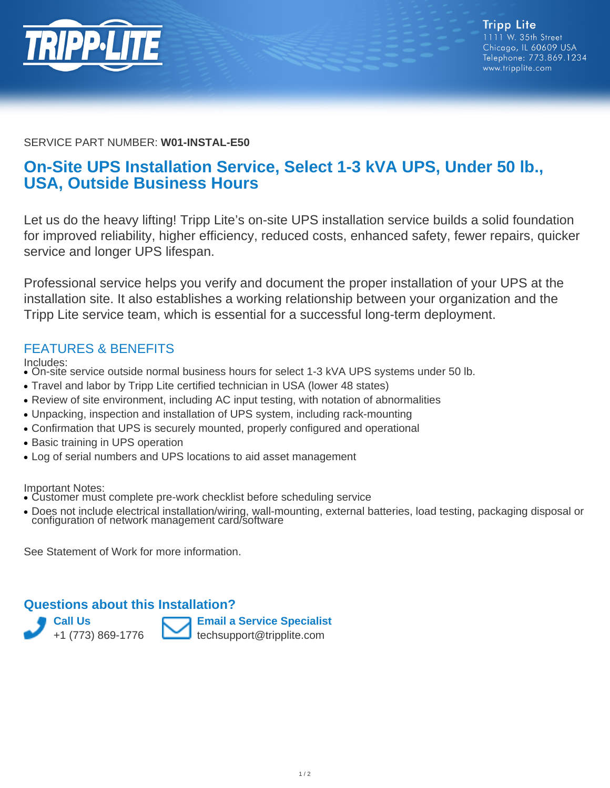

#### SERVICE PART NUMBER: **W01-INSTAL-E50**

# **On-Site UPS Installation Service, Select 1-3 kVA UPS, Under 50 lb., USA, Outside Business Hours**

Let us do the heavy lifting! Tripp Lite's on-site UPS installation service builds a solid foundation for improved reliability, higher efficiency, reduced costs, enhanced safety, fewer repairs, quicker service and longer UPS lifespan.

Professional service helps you verify and document the proper installation of your UPS at the installation site. It also establishes a working relationship between your organization and the Tripp Lite service team, which is essential for a successful long-term deployment.

### FEATURES & BENEFITS

Includes:

- On-site service outside normal business hours for select 1-3 kVA UPS systems under 50 lb.
- Travel and labor by Tripp Lite certified technician in USA (lower 48 states)
- Review of site environment, including AC input testing, with notation of abnormalities
- Unpacking, inspection and installation of UPS system, including rack-mounting
- Confirmation that UPS is securely mounted, properly configured and operational
- Basic training in UPS operation
- Log of serial numbers and UPS locations to aid asset management

Important Notes:

- Customer must complete pre-work checklist before scheduling service
- Does not include electrical installation/wiring, wall-mounting, external batteries, load testing, packaging disposal or • Does not include electrical installation/wiring, wall-m<br>configuration of network management card/software

See Statement of Work for more information.

#### **Questions about this Installation?**



**Email a Service Specialist** techsupport@tripplite.com